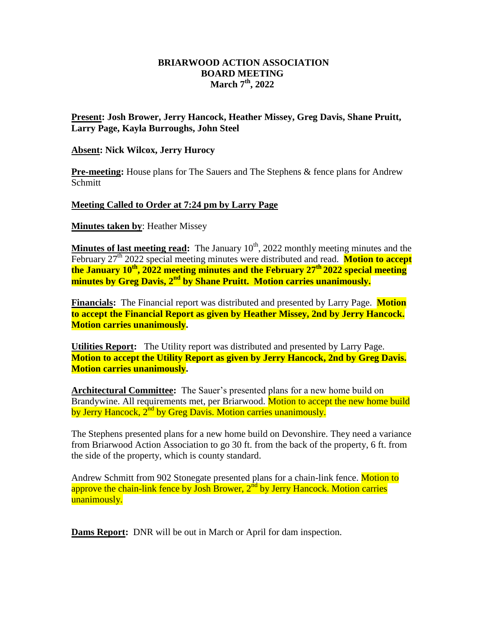## **BRIARWOOD ACTION ASSOCIATION BOARD MEETING March 7 th, 2022**

## **Present: Josh Brower, Jerry Hancock, Heather Missey, Greg Davis, Shane Pruitt, Larry Page, Kayla Burroughs, John Steel**

## **Absent: Nick Wilcox, Jerry Hurocy**

**Pre-meeting:** House plans for The Sauers and The Stephens & fence plans for Andrew Schmitt

## **Meeting Called to Order at 7:24 pm by Larry Page**

**Minutes taken by**: Heather Missey

**Minutes of last meeting read:** The January 10<sup>th</sup>, 2022 monthly meeting minutes and the February 27<sup>th</sup> 2022 special meeting minutes were distributed and read. **Motion to accept the January 10th, 2022 meeting minutes and the February 27th 2022 special meeting minutes by Greg Davis, 2nd by Shane Pruitt. Motion carries unanimously.**

**Financials:** The Financial report was distributed and presented by Larry Page. **Motion to accept the Financial Report as given by Heather Missey, 2nd by Jerry Hancock. Motion carries unanimously.** 

**Utilities Report:** The Utility report was distributed and presented by Larry Page. **Motion to accept the Utility Report as given by Jerry Hancock, 2nd by Greg Davis. Motion carries unanimously.** 

**Architectural Committee:** The Sauer's presented plans for a new home build on Brandywine. All requirements met, per Briarwood. Motion to accept the new home build by Jerry Hancock, 2<sup>nd</sup> by Greg Davis. Motion carries unanimously.

The Stephens presented plans for a new home build on Devonshire. They need a variance from Briarwood Action Association to go 30 ft. from the back of the property, 6 ft. from the side of the property, which is county standard.

Andrew Schmitt from 902 Stonegate presented plans for a chain-link fence. **Motion to** approve the chain-link fence by Josh Brower, 2<sup>nd</sup> by Jerry Hancock. Motion carries unanimously.

**Dams Report:** DNR will be out in March or April for dam inspection.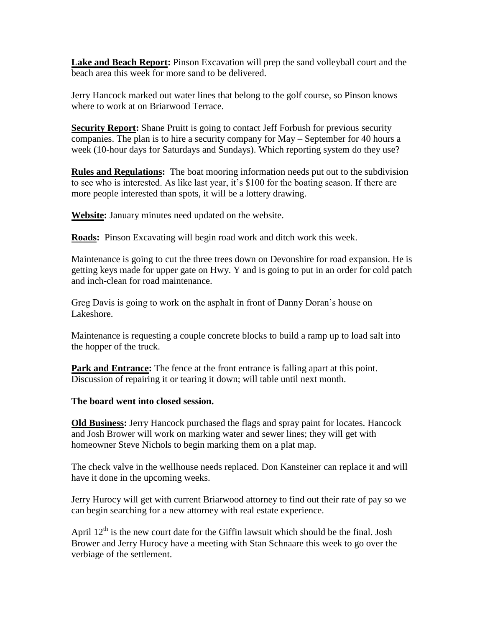**Lake and Beach Report:** Pinson Excavation will prep the sand volleyball court and the beach area this week for more sand to be delivered.

Jerry Hancock marked out water lines that belong to the golf course, so Pinson knows where to work at on Briarwood Terrace.

**Security Report:** Shane Pruitt is going to contact Jeff Forbush for previous security companies. The plan is to hire a security company for May – September for 40 hours a week (10-hour days for Saturdays and Sundays). Which reporting system do they use?

**Rules and Regulations:** The boat mooring information needs put out to the subdivision to see who is interested. As like last year, it's \$100 for the boating season. If there are more people interested than spots, it will be a lottery drawing.

**Website:** January minutes need updated on the website.

**Roads:** Pinson Excavating will begin road work and ditch work this week.

Maintenance is going to cut the three trees down on Devonshire for road expansion. He is getting keys made for upper gate on Hwy. Y and is going to put in an order for cold patch and inch-clean for road maintenance.

Greg Davis is going to work on the asphalt in front of Danny Doran's house on Lakeshore.

Maintenance is requesting a couple concrete blocks to build a ramp up to load salt into the hopper of the truck.

**Park and Entrance:** The fence at the front entrance is falling apart at this point. Discussion of repairing it or tearing it down; will table until next month.

**The board went into closed session.**

**Old Business:** Jerry Hancock purchased the flags and spray paint for locates. Hancock and Josh Brower will work on marking water and sewer lines; they will get with homeowner Steve Nichols to begin marking them on a plat map.

The check valve in the wellhouse needs replaced. Don Kansteiner can replace it and will have it done in the upcoming weeks.

Jerry Hurocy will get with current Briarwood attorney to find out their rate of pay so we can begin searching for a new attorney with real estate experience.

April  $12<sup>th</sup>$  is the new court date for the Giffin lawsuit which should be the final. Josh Brower and Jerry Hurocy have a meeting with Stan Schnaare this week to go over the verbiage of the settlement.